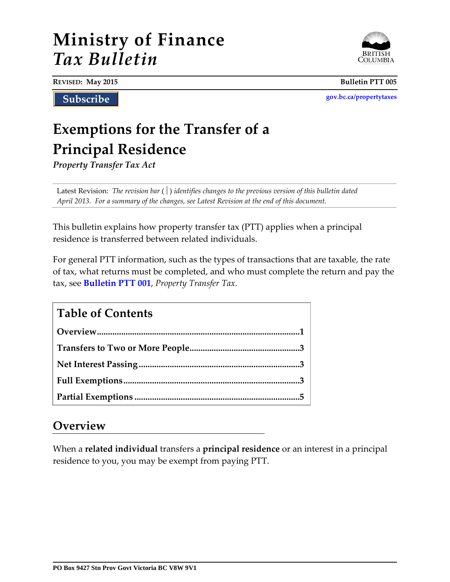# **Ministry of Finance** *Tax Bulletin*



**REVISED: May 2015 Bulletin PTT 005**

**Subscribe**

**[gov.bc.ca/propertytaxes](http://www.gov.bc.ca/propertytaxes/)**

# **Exemptions for the Transfer of a Principal Residence**

*Property Transfer Tax Act*

Latest Revision: *The revision bar* ( ) *identifies changes to the previous version of this bulletin dated April 2013. For a summary of the changes, see Latest Revision at the end of this document.*

This bulletin explains how property transfer tax (PTT) applies when a principal residence is transferred between related individuals.

For general PTT information, such as the types of transactions that are taxable, the rate of tax, what returns must be completed, and who must complete the return and pay the tax, see **[Bulletin PTT 001](http://www.sbr.gov.bc.ca/documents_library/bulletins/ptt_001.pdf)**, *Property Transfer Tax.*

| <b>Table of Contents</b> |  |
|--------------------------|--|
|                          |  |
|                          |  |
|                          |  |
|                          |  |
|                          |  |

## **Overview**

When a **related individual** transfers a **principal residence** or an interest in a principal residence to you, you may be exempt from paying PTT.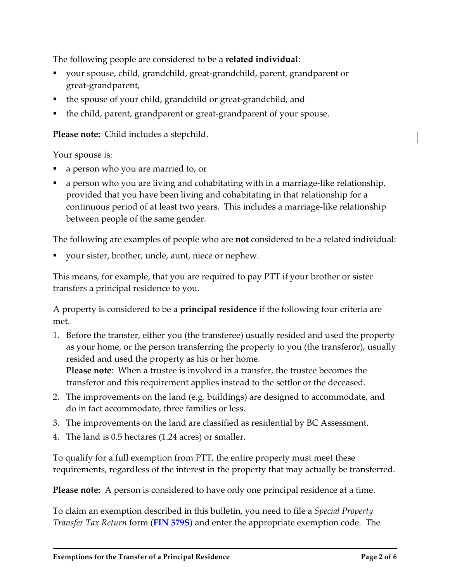The following people are considered to be a **related individual**:

- your spouse, child, grandchild, great-grandchild, parent, grandparent or great-grandparent,
- the spouse of your child, grandchild or great-grandchild, and
- the child, parent, grandparent or great-grandparent of your spouse.

**Please note:** Child includes a stepchild.

Your spouse is:

- a person who you are married to, or
- a person who you are living and cohabitating with in a marriage-like relationship, provided that you have been living and cohabitating in that relationship for a continuous period of at least two years. This includes a marriage-like relationship between people of the same gender.

The following are examples of people who are **not** considered to be a related individual:

your sister, brother, uncle, aunt, niece or nephew.

This means, for example, that you are required to pay PTT if your brother or sister transfers a principal residence to you.

A property is considered to be a **principal residence** if the following four criteria are met.

1. Before the transfer, either you (the transferee) usually resided and used the property as your home, or the person transferring the property to you (the transferor), usually resided and used the property as his or her home.

**Please note**: When a trustee is involved in a transfer, the trustee becomes the transferor and this requirement applies instead to the settlor or the deceased.

- 2. The improvements on the land (e.g. buildings) are designed to accommodate, and do in fact accommodate, three families or less.
- 3. The improvements on the land are classified as residential by BC Assessment.
- 4. The land is 0.5 hectares (1.24 acres) or smaller.

To qualify for a full exemption from PTT, the entire property must meet these requirements, regardless of the interest in the property that may actually be transferred.

**Please note:** A person is considered to have only one principal residence at a time.

To claim an exemption described in this bulletin, you need to file a *Special Property Transfer Tax Return* form (**[FIN 579S](http://www.sbr.gov.bc.ca/documents_library/forms/0579ssample.pdf)**) and enter the appropriate exemption code. The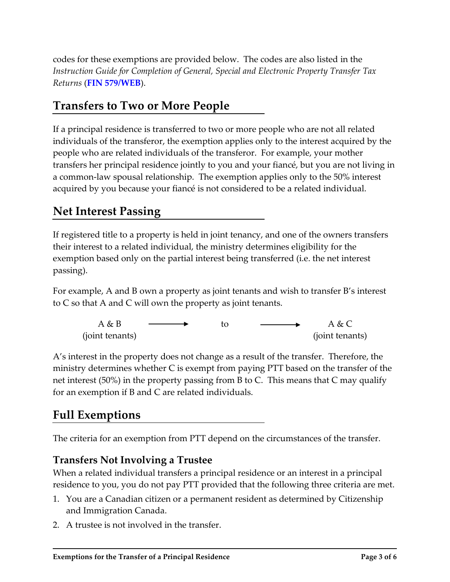<span id="page-2-0"></span>codes for these exemptions are provided below. The codes are also listed in the *Instruction Guide for Completion of General, Special and Electronic Property Transfer Tax Returns* (**[FIN 579/WEB](http://www.sbr.gov.bc.ca/documents_library/forms/0579Guide.pdf)**).

# **Transfers to Two or More People**

If a principal residence is transferred to two or more people who are not all related individuals of the transferor, the exemption applies only to the interest acquired by the people who are related individuals of the transferor. For example, your mother transfers her principal residence jointly to you and your fiancé, but you are not living in a common-law spousal relationship. The exemption applies only to the 50% interest acquired by you because your fiancé is not considered to be a related individual.

# **Net Interest Passing**

If registered title to a property is held in joint tenancy, and one of the owners transfers their interest to a related individual, the ministry determines eligibility for the exemption based only on the partial interest being transferred (i.e. the net interest passing).

For example, A and B own a property as joint tenants and wish to transfer B's interest to C so that A and C will own the property as joint tenants.

A & B (joint tenants) to  $A & C$ (joint tenants)

A's interest in the property does not change as a result of the transfer. Therefore, the ministry determines whether C is exempt from paying PTT based on the transfer of the net interest (50%) in the property passing from B to C. This means that C may qualify for an exemption if B and C are related individuals.

# **Full Exemptions**

The criteria for an exemption from PTT depend on the circumstances of the transfer.

### **Transfers Not Involving a Trustee**

When a related individual transfers a principal residence or an interest in a principal residence to you, you do not pay PTT provided that the following three criteria are met.

- 1. You are a Canadian citizen or a permanent resident as determined by Citizenship and Immigration Canada.
- 2. A trustee is not involved in the transfer.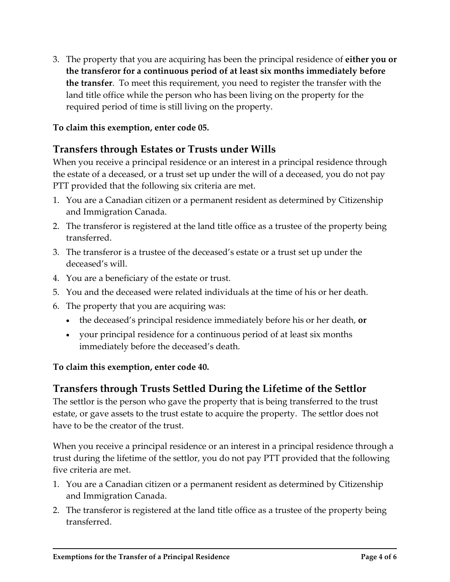3. The property that you are acquiring has been the principal residence of **either you or the transferor for a continuous period of at least six months immediately before the transfer**. To meet this requirement, you need to register the transfer with the land title office while the person who has been living on the property for the required period of time is still living on the property.

#### **To claim this exemption, enter code 05.**

### **Transfers through Estates or Trusts under Wills**

When you receive a principal residence or an interest in a principal residence through the estate of a deceased, or a trust set up under the will of a deceased, you do not pay PTT provided that the following six criteria are met.

- 1. You are a Canadian citizen or a permanent resident as determined by Citizenship and Immigration Canada.
- 2. The transferor is registered at the land title office as a trustee of the property being transferred.
- 3. The transferor is a trustee of the deceased's estate or a trust set up under the deceased's will.
- 4. You are a beneficiary of the estate or trust.
- 5. You and the deceased were related individuals at the time of his or her death.
- 6. The property that you are acquiring was:
	- the deceased's principal residence immediately before his or her death, **or**
	- your principal residence for a continuous period of at least six months immediately before the deceased's death.

#### **To claim this exemption, enter code 40.**

#### **Transfers through Trusts Settled During the Lifetime of the Settlor**

The settlor is the person who gave the property that is being transferred to the trust estate, or gave assets to the trust estate to acquire the property. The settlor does not have to be the creator of the trust.

When you receive a principal residence or an interest in a principal residence through a trust during the lifetime of the settlor, you do not pay PTT provided that the following five criteria are met.

- 1. You are a Canadian citizen or a permanent resident as determined by Citizenship and Immigration Canada.
- 2. The transferor is registered at the land title office as a trustee of the property being transferred.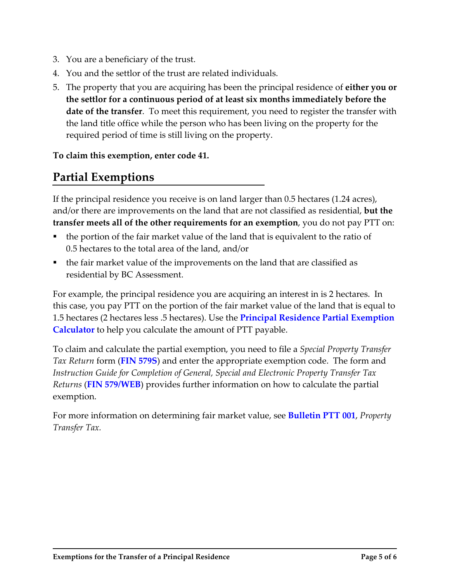- <span id="page-4-0"></span>3. You are a beneficiary of the trust.
- 4. You and the settlor of the trust are related individuals.
- 5. The property that you are acquiring has been the principal residence of **either you or the settlor for a continuous period of at least six months immediately before the date of the transfer**. To meet this requirement, you need to register the transfer with the land title office while the person who has been living on the property for the required period of time is still living on the property.

**To claim this exemption, enter code 41.** 

# **Partial Exemptions**

If the principal residence you receive is on land larger than 0.5 hectares (1.24 acres), and/or there are improvements on the land that are not classified as residential, **but the transfer meets all of the other requirements for an exemption**, you do not pay PTT on:

- the portion of the fair market value of the land that is equivalent to the ratio of 0.5 hectares to the total area of the land, and/or
- the fair market value of the improvements on the land that are classified as residential by BC Assessment.

For example, the principal residence you are acquiring an interest in is 2 hectares. In this case, you pay PTT on the portion of the fair market value of the land that is equal to 1.5 hectares (2 hectares less .5 hectares). Use the **[Principal Residence Partial Exemption](http://www.sbr.gov.bc.ca/business/Property_Taxes/Property_Transfer_Tax/prpe_calculation.htm)  [Calculator](http://www.sbr.gov.bc.ca/business/Property_Taxes/Property_Transfer_Tax/prpe_calculation.htm)** to help you calculate the amount of PTT payable.

To claim and calculate the partial exemption, you need to file a *Special Property Transfer Tax Return* form (**[FIN 579S](http://www.sbr.gov.bc.ca/documents_library/forms/0579ssample.pdf)**) and enter the appropriate exemption code. The form and *Instruction Guide for Completion of General, Special and Electronic Property Transfer Tax Returns* (**[FIN 579/WEB](http://www.sbr.gov.bc.ca/documents_library/forms/0579Guide.pdf)**) provides further information on how to calculate the partial exemption.

For more information on determining fair market value, see **[Bulletin PTT 001](http://www.sbr.gov.bc.ca/documents_library/bulletins/ptt_001.pdf)**, *Property Transfer Tax.*